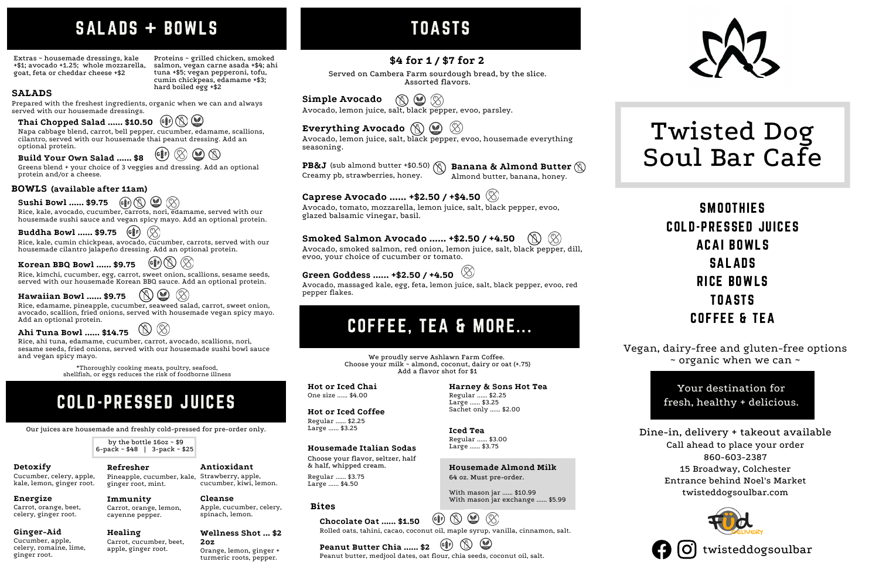Your destination for fresh, healthy + delicious.

# COFFEE, TEA & MORE...

**Housemade Almond Milk**

64 oz. Must pre-order.

Napa cabbage blend, carrot, bell pepper, cucumber, edamame, scallions, cilantro, served with our housemade thai peanut dressing. Add an optional protein.  $\left($ G $\frac{2}{3}$ F $\right)$  $\circledcirc$ 

With mason jar ...... \$10.99

With mason jar exchange ...... \$5.99

by the bottle 16oz ~ \$9 6-pack ~ \$48 | 3-pack ~ \$25

 $\odot$  $\mathbb{Q}$ (X) **Hawaiian Bowl ...... \$9.75** Rice, edamame, pineapple, cucumber, seaweed salad, carrot, sweet onion, avocado, scallion, fried onions, served with housemade vegan spicy mayo. Add an optional protein.

**Sushi Bowl ......**  $$9.75$   $(\circ \circ)$ 08) Rice, kale, avocado, cucumber, carrots, nori, edamame, served with our

 $\otimes$ (G≹F) **Buddha Bowl ...... \$9.75** Rice, kale, cumin chickpeas, avocado, cucumber, carrots, served with our housemade cilantro jalapeño dressing. Add an optional protein.

Avocado, lemon juice, salt, black pepper, evoo, parsley.

(G≹F) **Peanut Butter Chia ...... \$2** Peanut butter, medjool dates, oat flour, chia seeds, coconut oil, salt.

Avocado, lemon juice, salt, black pepper, evoo, housemade everything seasoning.

Almond butter, banana, honey.

Avocado, smoked salmon, red onion, lemon juice, salt, black pepper, dill, evoo, your choice of cucumber or tomato.

# **SMOOTHIES** COLD-PRESSED JUICES ACAI BOWLS SALADS RICE BOWLS TOASTS COFFEE & TEA

# **Green Goddess ...... +\$2.50 / +4.50**

TOASTS

Prepared with the freshest ingredients, organic when we can and always served with our housemade dressings.

housemade sushi sauce and vegan spicy mayo. Add an optional protein.

 $\circledR$ **Chocolate Oat ...... \$1.50** Rolled oats, tahini, cacao, coconut oil, maple syrup, vanilla, cinnamon, salt.

Greens blend + your choice of 3 veggies and dressing. Add an optional protein and/or a cheese.

**Build Your Own Salad ...... \$8**

Avocado, massaged kale, egg, feta, lemon juice, salt, black pepper, evoo, red pepper flakes.

# Twisted Dog Soul Bar Cafe

 $\circledast$ **Korean BBQ Bowl ...... \$9.75** Rice, kimchi, cucumber, egg, carrot, sweet onion, scallions, sesame seeds,

> Dine-in, delivery + takeout available Call ahead to place your order 860-603-2387 15 Broadway, Colchester Entrance behind Noel's Market twisteddogsoulbar.com





### **SALADS**

**Everything Avocado**  $\odot$ 

 $\texttt{PBAJ}$  (sub almond butter +\$0.50)  $\textcircled{R}\text{}$  Banana & Almond Butter Creamy pb, strawberries, honey.

Proteins ~ grilled chicken, smoked salmon, vegan carne asada +\$4; ahi tuna +\$5; vegan pepperoni, tofu, cumin chickpeas, edamame +\$3; hard boiled egg +\$2

# SALADS + BOWLS

Extras ~ housemade dressings, kale +\$1; avocado +1.25; whole mozzarella, goat, feta or cheddar cheese +\$2

### **Bites**

Vegan, dairy-free and gluten-free options ~ organic when we can ~

Cucumber, celery, apple, kale, lemon, ginger root. **Detoxify**

Carrot, orange, beet, celery, ginger root. **Energize**

Cucumber, apple, celery, romaine, lime, ginger root.

### **Ginger-Aid**

# COLD-PRESSED JUICES

Our juices are housemade and freshly cold-pressed for pre-order only.

Pineapple, cucumber, kale, Strawberry, apple, ginger root, mint. **Refresher**

cucumber, kiwi, lemon.

**Antioxidant**

Carrot, orange, lemon, cayenne pepper. **Immunity**

Apple, cucumber, celery, spinach, lemon. **Cleanse**

Carrot, cucumber, beet, apple, ginger root. **Healing**

Orange, lemon, ginger + turmeric roots, pepper.

#### **Wellness Shot ... \$2 2oz**

We proudly serve Ashlawn Farm Coffee. Choose your milk  $\sim$  almond, coconut, dairy or oat (+.75) Add a flavor shot for \$1

One size ...... \$4.00

**Hot or Iced Chai**

Regular ...... \$2.25 Large ...... \$3.25 Sachet only ...... \$2.00

**Harney & Sons Hot Tea**

Regular ...... \$3.75 Large ...... \$4.50

### **Housemade Italian Sodas**

Choose your flavor, seltzer, half & half, whipped cream.

twisteddogsoulbar

**BOWLS (available after 11am)**

**Thai Chopped Salad ...... \$10.50**

served with our housemade Korean BBQ sauce. Add an optional protein.

Rice, ahi tuna, edamame, cucumber, carrot, avocado, scallions, nori, sesame seeds, fried onions, served with our housemade sushi bowl sauce and vegan spicy mayo.

**Ahi Tuna Bowl ...... \$14.75**

Regular ...... \$2.25 Large ...... \$3.25

#### **Hot or Iced Coffee**

Regular ...... \$3.00 Large ...... \$3.75

**Iced Tea**

# **\$4 for 1 / \$7 for 2**

Served on Cambera Farm sourdough bread, by the slice. Assorted flavors.

 $\circledcirc$ **Simple Avocado**  $\mathbb{R}$ 

Avocado, tomato, mozzarella, lemon juice, salt, black pepper, evoo, glazed balsamic vinegar, basil.

# **Caprese Avocado ...... +\$2.50 / +\$4.50**

### **Smoked Salmon Avocado ...... +\$2.50 / +4.50**

\*Thoroughly cooking meats, poultry, seafood, shellfish, or eggs reduces the risk of foodborne illness

 $\circledR$